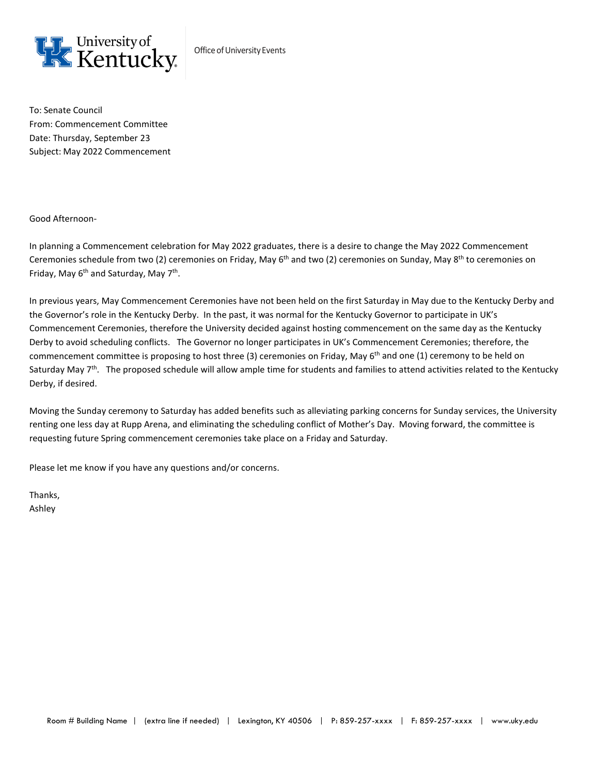

Office of University Events

To: Senate Council From: Commencement Committee Date: Thursday, September 23 Subject: May 2022 Commencement

Good Afternoon-

In planning a Commencement celebration for May 2022 graduates, there is a desire to change the May 2022 Commencement Ceremonies schedule from two (2) ceremonies on Friday, May 6<sup>th</sup> and two (2) ceremonies on Sunday, May 8<sup>th</sup> to ceremonies on Friday, May  $6<sup>th</sup>$  and Saturday, May  $7<sup>th</sup>$ .

In previous years, May Commencement Ceremonies have not been held on the first Saturday in May due to the Kentucky Derby and the Governor's role in the Kentucky Derby. In the past, it was normal for the Kentucky Governor to participate in UK's Commencement Ceremonies, therefore the University decided against hosting commencement on the same day as the Kentucky Derby to avoid scheduling conflicts. The Governor no longer participates in UK's Commencement Ceremonies; therefore, the commencement committee is proposing to host three (3) ceremonies on Friday, May  $6<sup>th</sup>$  and one (1) ceremony to be held on Saturday May 7<sup>th</sup>. The proposed schedule will allow ample time for students and families to attend activities related to the Kentucky Derby, if desired.

Moving the Sunday ceremony to Saturday has added benefits such as alleviating parking concerns for Sunday services, the University renting one less day at Rupp Arena, and eliminating the scheduling conflict of Mother's Day. Moving forward, the committee is requesting future Spring commencement ceremonies take place on a Friday and Saturday.

Please let me know if you have any questions and/or concerns.

Thanks, Ashley